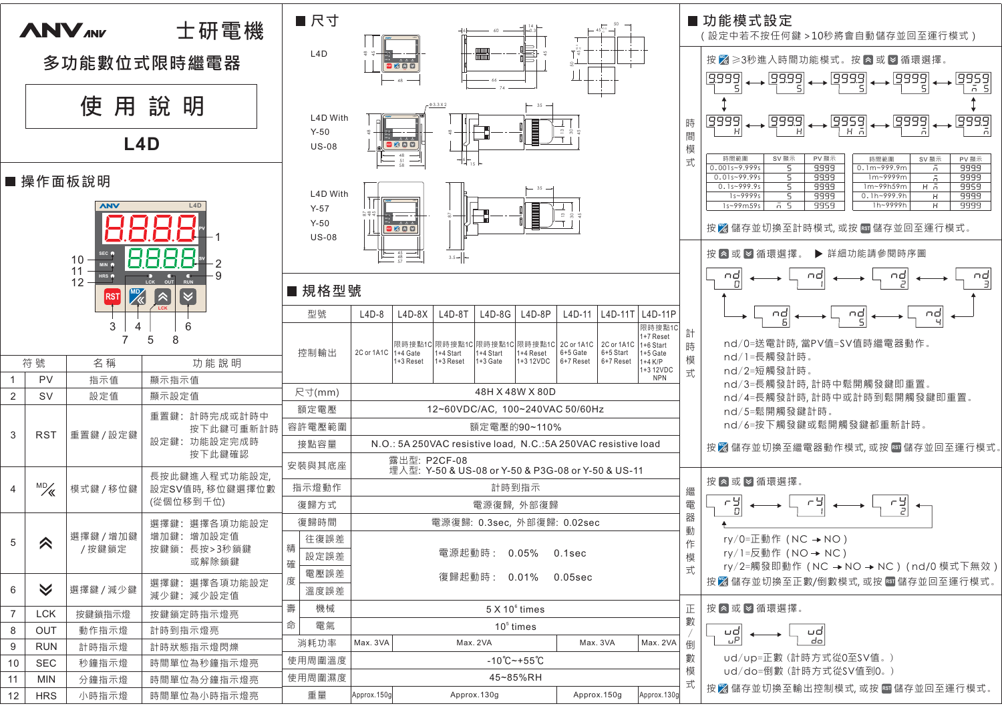



按图儲存並切換至輸出控制模式,或按國儲存並回至運行模式。

式

Approx.130